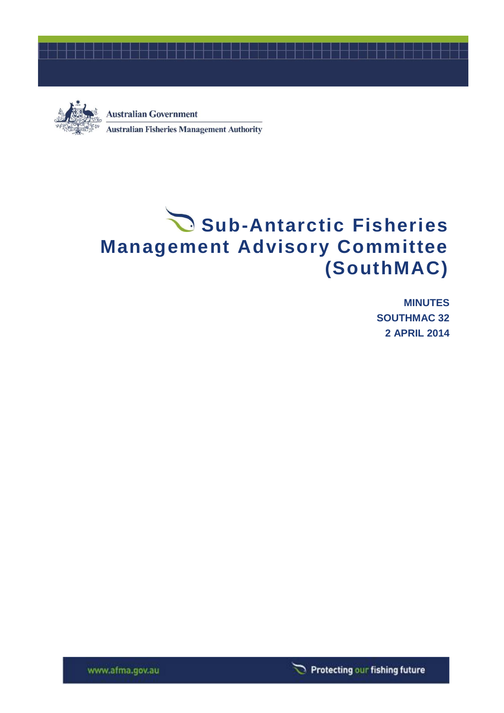



**Australian Government Australian Fisheries Management Authority** 

# Sub-Antarctic Fisheries **Management Advisory Committee (SouthMAC)**

**MINUTES SOUTHMAC 32 2 APRIL 2014**

Protecting our fishing future

www.afma.gov.au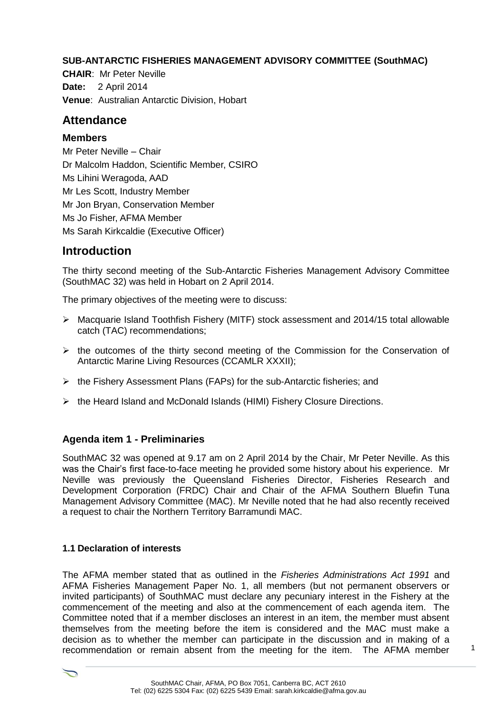#### **SUB-ANTARCTIC FISHERIES MANAGEMENT ADVISORY COMMITTEE (SouthMAC)**

**CHAIR**: Mr Peter Neville **Date:** 2 April 2014 **Venue**: Australian Antarctic Division, Hobart

# **Attendance**

#### **Members**

Mr Peter Neville – Chair Dr Malcolm Haddon, Scientific Member, CSIRO Ms Lihini Weragoda, AAD Mr Les Scott, Industry Member Mr Jon Bryan, Conservation Member Ms Jo Fisher, AFMA Member Ms Sarah Kirkcaldie (Executive Officer)

# **Introduction**

The thirty second meeting of the Sub-Antarctic Fisheries Management Advisory Committee (SouthMAC 32) was held in Hobart on 2 April 2014.

The primary objectives of the meeting were to discuss:

- $\triangleright$  Macquarie Island Toothfish Fishery (MITF) stock assessment and 2014/15 total allowable catch (TAC) recommendations;
- $\triangleright$  the outcomes of the thirty second meeting of the Commission for the Conservation of Antarctic Marine Living Resources (CCAMLR XXXII);
- $\triangleright$  the Fishery Assessment Plans (FAPs) for the sub-Antarctic fisheries; and
- $\triangleright$  the Heard Island and McDonald Islands (HIMI) Fishery Closure Directions.

# **Agenda item 1 - Preliminaries**

SouthMAC 32 was opened at 9.17 am on 2 April 2014 by the Chair, Mr Peter Neville. As this was the Chair's first face-to-face meeting he provided some history about his experience. Mr Neville was previously the Queensland Fisheries Director, Fisheries Research and Development Corporation (FRDC) Chair and Chair of the AFMA Southern Bluefin Tuna Management Advisory Committee (MAC). Mr Neville noted that he had also recently received a request to chair the Northern Territory Barramundi MAC.

#### **1.1 Declaration of interests**

 $\overline{\phantom{0}}$ 

The AFMA member stated that as outlined in the *Fisheries Administrations Act 1991* and AFMA Fisheries Management Paper No. 1, all members (but not permanent observers or invited participants) of SouthMAC must declare any pecuniary interest in the Fishery at the commencement of the meeting and also at the commencement of each agenda item. The Committee noted that if a member discloses an interest in an item, the member must absent themselves from the meeting before the item is considered and the MAC must make a decision as to whether the member can participate in the discussion and in making of a recommendation or remain absent from the meeting for the item. The AFMA member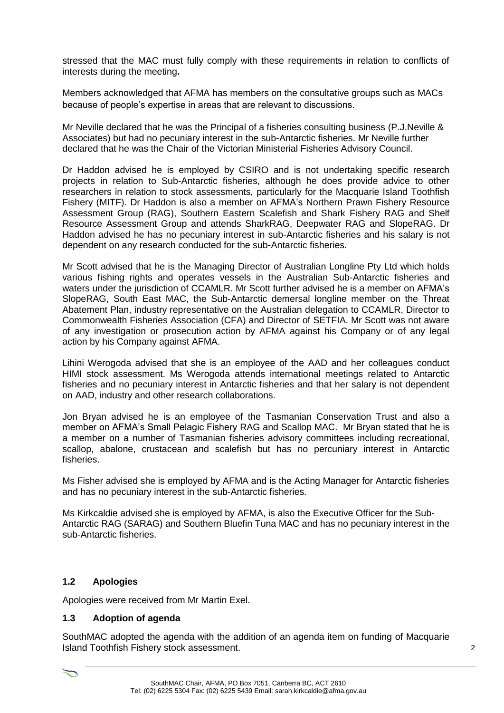stressed that the MAC must fully comply with these requirements in relation to conflicts of interests during the meeting**.** 

Members acknowledged that AFMA has members on the consultative groups such as MACs because of people's expertise in areas that are relevant to discussions.

Mr Neville declared that he was the Principal of a fisheries consulting business (P.J.Neville & Associates) but had no pecuniary interest in the sub-Antarctic fisheries. Mr Neville further declared that he was the Chair of the Victorian Ministerial Fisheries Advisory Council.

Dr Haddon advised he is employed by CSIRO and is not undertaking specific research projects in relation to Sub-Antarctic fisheries, although he does provide advice to other researchers in relation to stock assessments, particularly for the Macquarie Island Toothfish Fishery (MITF). Dr Haddon is also a member on AFMA's Northern Prawn Fishery Resource Assessment Group (RAG), Southern Eastern Scalefish and Shark Fishery RAG and Shelf Resource Assessment Group and attends SharkRAG, Deepwater RAG and SlopeRAG. Dr Haddon advised he has no pecuniary interest in sub-Antarctic fisheries and his salary is not dependent on any research conducted for the sub-Antarctic fisheries.

Mr Scott advised that he is the Managing Director of Australian Longline Pty Ltd which holds various fishing rights and operates vessels in the Australian Sub-Antarctic fisheries and waters under the jurisdiction of CCAMLR. Mr Scott further advised he is a member on AFMA's SlopeRAG, South East MAC, the Sub-Antarctic demersal longline member on the Threat Abatement Plan, industry representative on the Australian delegation to CCAMLR, Director to Commonwealth Fisheries Association (CFA) and Director of SETFIA. Mr Scott was not aware of any investigation or prosecution action by AFMA against his Company or of any legal action by his Company against AFMA.

Lihini Werogoda advised that she is an employee of the AAD and her colleagues conduct HIMI stock assessment. Ms Werogoda attends international meetings related to Antarctic fisheries and no pecuniary interest in Antarctic fisheries and that her salary is not dependent on AAD, industry and other research collaborations.

Jon Bryan advised he is an employee of the Tasmanian Conservation Trust and also a member on AFMA's Small Pelagic Fishery RAG and Scallop MAC. Mr Bryan stated that he is a member on a number of Tasmanian fisheries advisory committees including recreational, scallop, abalone, crustacean and scalefish but has no percuniary interest in Antarctic fisheries.

Ms Fisher advised she is employed by AFMA and is the Acting Manager for Antarctic fisheries and has no pecuniary interest in the sub-Antarctic fisheries.

Ms Kirkcaldie advised she is employed by AFMA, is also the Executive Officer for the Sub-Antarctic RAG (SARAG) and Southern Bluefin Tuna MAC and has no pecuniary interest in the sub-Antarctic fisheries.

#### **1.2 Apologies**

Apologies were received from Mr Martin Exel.

#### **1.3 Adoption of agenda**

SouthMAC adopted the agenda with the addition of an agenda item on funding of Macquarie Island Toothfish Fishery stock assessment.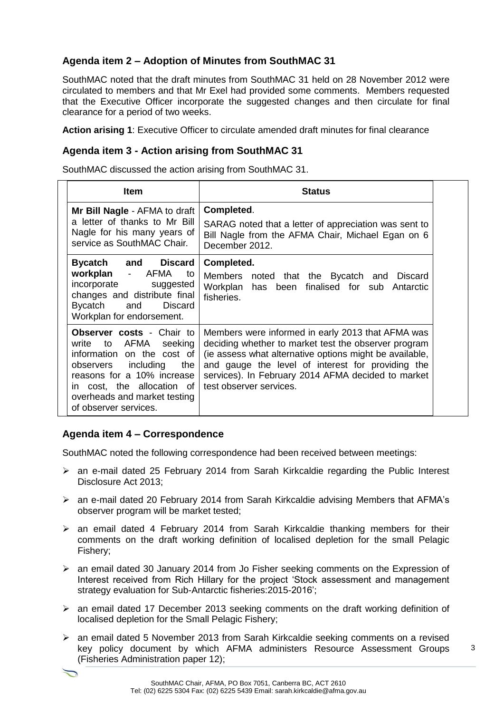# **Agenda item 2 – Adoption of Minutes from SouthMAC 31**

SouthMAC noted that the draft minutes from SouthMAC 31 held on 28 November 2012 were circulated to members and that Mr Exel had provided some comments. Members requested that the Executive Officer incorporate the suggested changes and then circulate for final clearance for a period of two weeks.

**Action arising 1**: Executive Officer to circulate amended draft minutes for final clearance

#### **Agenda item 3 - Action arising from SouthMAC 31**

SouthMAC discussed the action arising from SouthMAC 31.

| <b>Item</b>                                                                                                                                                                                                                                   | <b>Status</b>                                                                                                                                                                                                                                                                                              |
|-----------------------------------------------------------------------------------------------------------------------------------------------------------------------------------------------------------------------------------------------|------------------------------------------------------------------------------------------------------------------------------------------------------------------------------------------------------------------------------------------------------------------------------------------------------------|
| Mr Bill Nagle - AFMA to draft<br>a letter of thanks to Mr Bill<br>Nagle for his many years of<br>service as SouthMAC Chair.                                                                                                                   | Completed.<br>SARAG noted that a letter of appreciation was sent to<br>Bill Nagle from the AFMA Chair, Michael Egan on 6<br>December 2012.                                                                                                                                                                 |
| Bycatch and<br><b>Discard</b><br>workplan - AFMA<br>to<br>incorporate<br>suggested<br>changes and distribute final<br>Bycatch<br>and<br><b>Discard</b><br>Workplan for endorsement.                                                           | Completed.<br>Members noted that the Bycatch and<br><b>Discard</b><br>Workplan has been finalised for sub Antarctic<br>fisheries.                                                                                                                                                                          |
| <b>Observer costs - Chair to</b><br>write to AFMA seeking<br>information on the cost of<br>including<br>observers<br>the<br>reasons for a 10% increase<br>in cost, the allocation of<br>overheads and market testing<br>of observer services. | Members were informed in early 2013 that AFMA was<br>deciding whether to market test the observer program<br>(ie assess what alternative options might be available,<br>and gauge the level of interest for providing the<br>services). In February 2014 AFMA decided to market<br>test observer services. |

#### **Agenda item 4 – Correspondence**

SouthMAC noted the following correspondence had been received between meetings:

- an e-mail dated 25 February 2014 from Sarah Kirkcaldie regarding the Public Interest Disclosure Act 2013;
- an e-mail dated 20 February 2014 from Sarah Kirkcaldie advising Members that AFMA's observer program will be market tested;
- $\triangleright$  an email dated 4 February 2014 from Sarah Kirkcaldie thanking members for their comments on the draft working definition of localised depletion for the small Pelagic Fishery;
- an email dated 30 January 2014 from Jo Fisher seeking comments on the Expression of Interest received from Rich Hillary for the project 'Stock assessment and management strategy evaluation for Sub-Antarctic fisheries:2015-2016';
- an email dated 17 December 2013 seeking comments on the draft working definition of localised depletion for the Small Pelagic Fishery;
- an email dated 5 November 2013 from Sarah Kirkcaldie seeking comments on a revised key policy document by which AFMA administers Resource Assessment Groups (Fisheries Administration paper 12);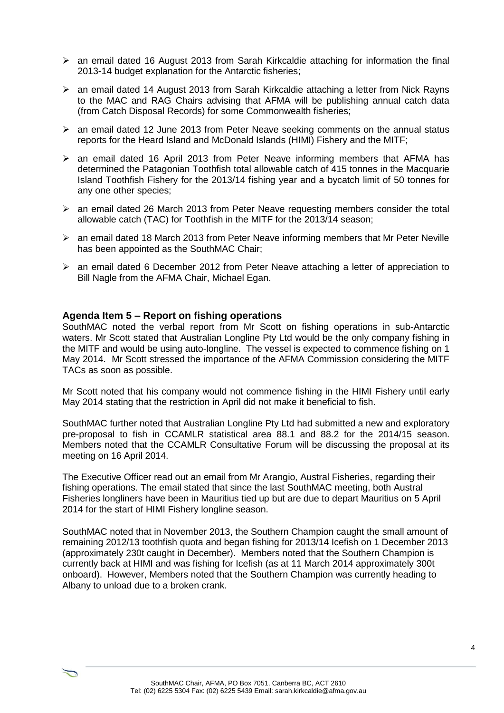- $\triangleright$  an email dated 16 August 2013 from Sarah Kirkcaldie attaching for information the final 2013-14 budget explanation for the Antarctic fisheries;
- $\geq$  an email dated 14 August 2013 from Sarah Kirkcaldie attaching a letter from Nick Rayns to the MAC and RAG Chairs advising that AFMA will be publishing annual catch data (from Catch Disposal Records) for some Commonwealth fisheries;
- $\triangleright$  an email dated 12 June 2013 from Peter Neave seeking comments on the annual status reports for the Heard Island and McDonald Islands (HIMI) Fishery and the MITF;
- $\triangleright$  an email dated 16 April 2013 from Peter Neave informing members that AFMA has determined the Patagonian Toothfish total allowable catch of 415 tonnes in the Macquarie Island Toothfish Fishery for the 2013/14 fishing year and a bycatch limit of 50 tonnes for any one other species;
- $\geq$  an email dated 26 March 2013 from Peter Neave requesting members consider the total allowable catch (TAC) for Toothfish in the MITF for the 2013/14 season;
- $\triangleright$  an email dated 18 March 2013 from Peter Neave informing members that Mr Peter Neville has been appointed as the SouthMAC Chair;
- $\triangleright$  an email dated 6 December 2012 from Peter Neave attaching a letter of appreciation to Bill Nagle from the AFMA Chair, Michael Egan.

#### **Agenda Item 5 – Report on fishing operations**

SouthMAC noted the verbal report from Mr Scott on fishing operations in sub-Antarctic waters. Mr Scott stated that Australian Longline Pty Ltd would be the only company fishing in the MITF and would be using auto-longline. The vessel is expected to commence fishing on 1 May 2014. Mr Scott stressed the importance of the AFMA Commission considering the MITF TACs as soon as possible.

Mr Scott noted that his company would not commence fishing in the HIMI Fishery until early May 2014 stating that the restriction in April did not make it beneficial to fish.

SouthMAC further noted that Australian Longline Pty Ltd had submitted a new and exploratory pre-proposal to fish in CCAMLR statistical area 88.1 and 88.2 for the 2014/15 season. Members noted that the CCAMLR Consultative Forum will be discussing the proposal at its meeting on 16 April 2014.

The Executive Officer read out an email from Mr Arangio, Austral Fisheries, regarding their fishing operations. The email stated that since the last SouthMAC meeting, both Austral Fisheries longliners have been in Mauritius tied up but are due to depart Mauritius on 5 April 2014 for the start of HIMI Fishery longline season.

SouthMAC noted that in November 2013, the Southern Champion caught the small amount of remaining 2012/13 toothfish quota and began fishing for 2013/14 Icefish on 1 December 2013 (approximately 230t caught in December). Members noted that the Southern Champion is currently back at HIMI and was fishing for Icefish (as at 11 March 2014 approximately 300t onboard). However, Members noted that the Southern Champion was currently heading to Albany to unload due to a broken crank.

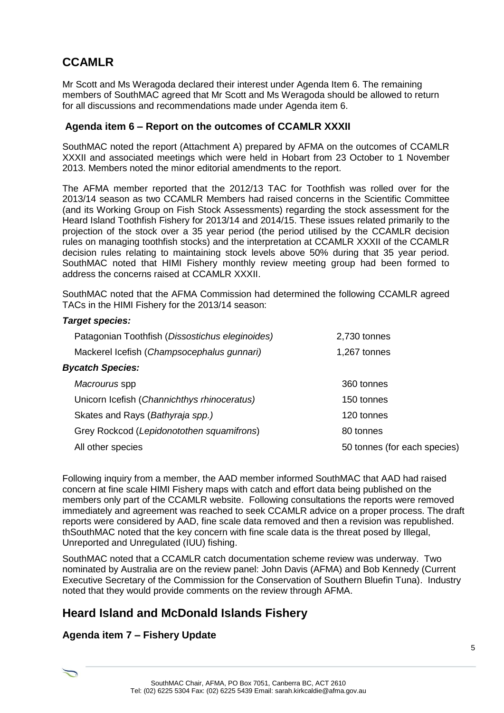# **CCAMLR**

Mr Scott and Ms Weragoda declared their interest under Agenda Item 6. The remaining members of SouthMAC agreed that Mr Scott and Ms Weragoda should be allowed to return for all discussions and recommendations made under Agenda item 6.

#### **Agenda item 6 – Report on the outcomes of CCAMLR XXXII**

SouthMAC noted the report (Attachment A) prepared by AFMA on the outcomes of CCAMLR XXXII and associated meetings which were held in Hobart from 23 October to 1 November 2013. Members noted the minor editorial amendments to the report.

The AFMA member reported that the 2012/13 TAC for Toothfish was rolled over for the 2013/14 season as two CCAMLR Members had raised concerns in the Scientific Committee (and its Working Group on Fish Stock Assessments) regarding the stock assessment for the Heard Island Toothfish Fishery for 2013/14 and 2014/15. These issues related primarily to the projection of the stock over a 35 year period (the period utilised by the CCAMLR decision rules on managing toothfish stocks) and the interpretation at CCAMLR XXXII of the CCAMLR decision rules relating to maintaining stock levels above 50% during that 35 year period. SouthMAC noted that HIMI Fishery monthly review meeting group had been formed to address the concerns raised at CCAMLR XXXII.

SouthMAC noted that the AFMA Commission had determined the following CCAMLR agreed TACs in the HIMI Fishery for the 2013/14 season:

#### *Target species:*

| Patagonian Toothfish (Dissostichus eleginoides) | 2,730 tonnes                 |
|-------------------------------------------------|------------------------------|
| Mackerel Icefish (Champsocephalus gunnari)      | 1,267 tonnes                 |
| <b>Bycatch Species:</b>                         |                              |
| Macrourus spp                                   | 360 tonnes                   |
| Unicorn Icefish (Channichthys rhinoceratus)     | 150 tonnes                   |
| Skates and Rays (Bathyraja spp.)                | 120 tonnes                   |
| Grey Rockcod (Lepidonotothen squamifrons)       | 80 tonnes                    |
| All other species                               | 50 tonnes (for each species) |

Following inquiry from a member, the AAD member informed SouthMAC that AAD had raised concern at fine scale HIMI Fishery maps with catch and effort data being published on the members only part of the CCAMLR website. Following consultations the reports were removed immediately and agreement was reached to seek CCAMLR advice on a proper process. The draft reports were considered by AAD, fine scale data removed and then a revision was republished. thSouthMAC noted that the key concern with fine scale data is the threat posed by Illegal, Unreported and Unregulated (IUU) fishing.

SouthMAC noted that a CCAMLR catch documentation scheme review was underway. Two nominated by Australia are on the review panel: John Davis (AFMA) and Bob Kennedy (Current Executive Secretary of the Commission for the Conservation of Southern Bluefin Tuna). Industry noted that they would provide comments on the review through AFMA.

# **Heard Island and McDonald Islands Fishery**

# **Agenda item 7 – Fishery Update**

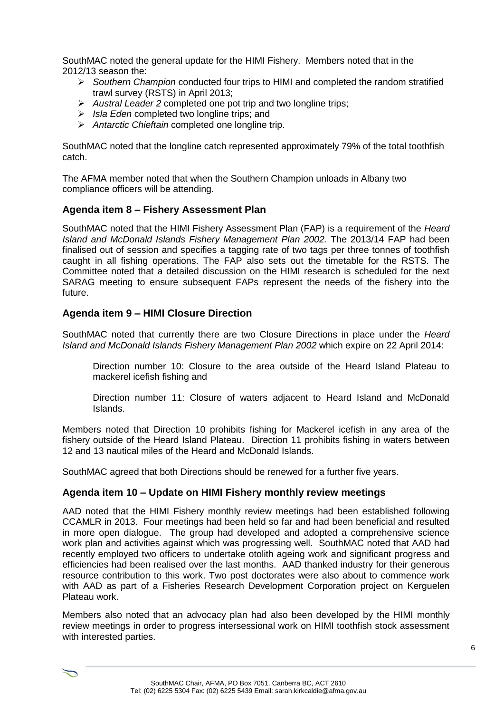SouthMAC noted the general update for the HIMI Fishery. Members noted that in the 2012/13 season the:

- *Southern Champion* conducted four trips to HIMI and completed the random stratified trawl survey (RSTS) in April 2013;
- *Austral Leader 2* completed one pot trip and two longline trips;
- *Isla Eden* completed two longline trips; and
- *Antarctic Chieftain* completed one longline trip.

SouthMAC noted that the longline catch represented approximately 79% of the total toothfish catch.

The AFMA member noted that when the Southern Champion unloads in Albany two compliance officers will be attending.

#### **Agenda item 8 – Fishery Assessment Plan**

SouthMAC noted that the HIMI Fishery Assessment Plan (FAP) is a requirement of the *Heard Island and McDonald Islands Fishery Management Plan 2002.* The 2013/14 FAP had been finalised out of session and specifies a tagging rate of two tags per three tonnes of toothfish caught in all fishing operations. The FAP also sets out the timetable for the RSTS. The Committee noted that a detailed discussion on the HIMI research is scheduled for the next SARAG meeting to ensure subsequent FAPs represent the needs of the fishery into the future.

#### **Agenda item 9 – HIMI Closure Direction**

SouthMAC noted that currently there are two Closure Directions in place under the *Heard Island and McDonald Islands Fishery Management Plan 2002* which expire on 22 April 2014:

Direction number 10: Closure to the area outside of the Heard Island Plateau to mackerel icefish fishing and

Direction number 11: Closure of waters adjacent to Heard Island and McDonald Islands.

Members noted that Direction 10 prohibits fishing for Mackerel icefish in any area of the fishery outside of the Heard Island Plateau. Direction 11 prohibits fishing in waters between 12 and 13 nautical miles of the Heard and McDonald Islands.

SouthMAC agreed that both Directions should be renewed for a further five years.

#### **Agenda item 10 – Update on HIMI Fishery monthly review meetings**

AAD noted that the HIMI Fishery monthly review meetings had been established following CCAMLR in 2013. Four meetings had been held so far and had been beneficial and resulted in more open dialogue. The group had developed and adopted a comprehensive science work plan and activities against which was progressing well. SouthMAC noted that AAD had recently employed two officers to undertake otolith ageing work and significant progress and efficiencies had been realised over the last months. AAD thanked industry for their generous resource contribution to this work. Two post doctorates were also about to commence work with AAD as part of a Fisheries Research Development Corporation project on Kerguelen Plateau work.

Members also noted that an advocacy plan had also been developed by the HIMI monthly review meetings in order to progress intersessional work on HIMI toothfish stock assessment with interested parties.

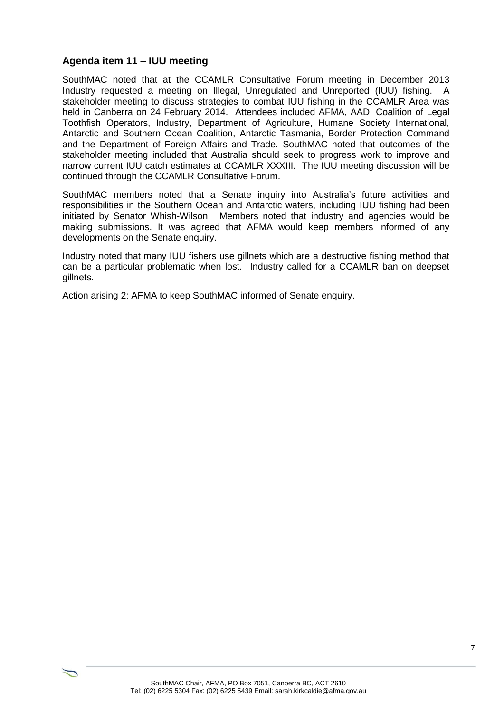#### **Agenda item 11 – IUU meeting**

SouthMAC noted that at the CCAMLR Consultative Forum meeting in December 2013 Industry requested a meeting on Illegal, Unregulated and Unreported (IUU) fishing. A stakeholder meeting to discuss strategies to combat IUU fishing in the CCAMLR Area was held in Canberra on 24 February 2014. Attendees included AFMA, AAD, Coalition of Legal Toothfish Operators, Industry, Department of Agriculture, Humane Society International, Antarctic and Southern Ocean Coalition, Antarctic Tasmania, Border Protection Command and the Department of Foreign Affairs and Trade. SouthMAC noted that outcomes of the stakeholder meeting included that Australia should seek to progress work to improve and narrow current IUU catch estimates at CCAMLR XXXIII. The IUU meeting discussion will be continued through the CCAMLR Consultative Forum.

SouthMAC members noted that a Senate inquiry into Australia's future activities and responsibilities in the Southern Ocean and Antarctic waters, including IUU fishing had been initiated by Senator Whish-Wilson. Members noted that industry and agencies would be making submissions. It was agreed that AFMA would keep members informed of any developments on the Senate enquiry.

Industry noted that many IUU fishers use gillnets which are a destructive fishing method that can be a particular problematic when lost. Industry called for a CCAMLR ban on deepset gillnets.

Action arising 2: AFMA to keep SouthMAC informed of Senate enquiry.

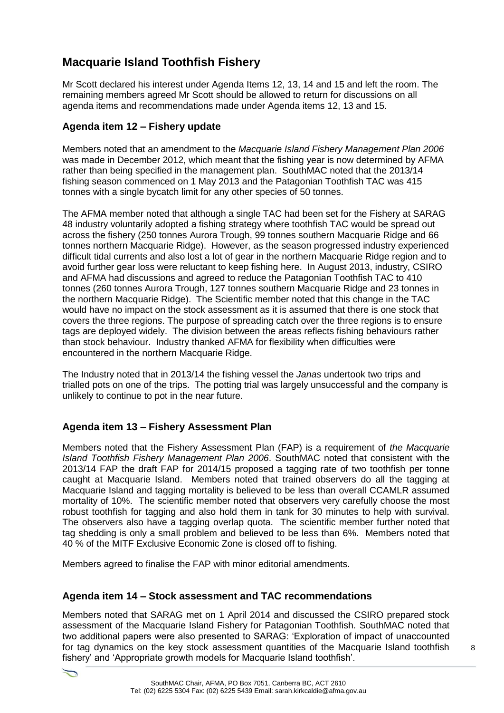# **Macquarie Island Toothfish Fishery**

Mr Scott declared his interest under Agenda Items 12, 13, 14 and 15 and left the room. The remaining members agreed Mr Scott should be allowed to return for discussions on all agenda items and recommendations made under Agenda items 12, 13 and 15.

# **Agenda item 12 – Fishery update**

Members noted that an amendment to the *Macquarie Island Fishery Management Plan 2006* was made in December 2012, which meant that the fishing year is now determined by AFMA rather than being specified in the management plan. SouthMAC noted that the 2013/14 fishing season commenced on 1 May 2013 and the Patagonian Toothfish TAC was 415 tonnes with a single bycatch limit for any other species of 50 tonnes.

The AFMA member noted that although a single TAC had been set for the Fishery at SARAG 48 industry voluntarily adopted a fishing strategy where toothfish TAC would be spread out across the fishery (250 tonnes Aurora Trough, 99 tonnes southern Macquarie Ridge and 66 tonnes northern Macquarie Ridge). However, as the season progressed industry experienced difficult tidal currents and also lost a lot of gear in the northern Macquarie Ridge region and to avoid further gear loss were reluctant to keep fishing here. In August 2013, industry, CSIRO and AFMA had discussions and agreed to reduce the Patagonian Toothfish TAC to 410 tonnes (260 tonnes Aurora Trough, 127 tonnes southern Macquarie Ridge and 23 tonnes in the northern Macquarie Ridge). The Scientific member noted that this change in the TAC would have no impact on the stock assessment as it is assumed that there is one stock that covers the three regions. The purpose of spreading catch over the three regions is to ensure tags are deployed widely. The division between the areas reflects fishing behaviours rather than stock behaviour. Industry thanked AFMA for flexibility when difficulties were encountered in the northern Macquarie Ridge.

The Industry noted that in 2013/14 the fishing vessel the *Janas* undertook two trips and trialled pots on one of the trips. The potting trial was largely unsuccessful and the company is unlikely to continue to pot in the near future.

# **Agenda item 13 – Fishery Assessment Plan**

Members noted that the Fishery Assessment Plan (FAP) is a requirement of *the Macquarie Island Toothfish Fishery Management Plan 2006*. SouthMAC noted that consistent with the 2013/14 FAP the draft FAP for 2014/15 proposed a tagging rate of two toothfish per tonne caught at Macquarie Island. Members noted that trained observers do all the tagging at Macquarie Island and tagging mortality is believed to be less than overall CCAMLR assumed mortality of 10%. The scientific member noted that observers very carefully choose the most robust toothfish for tagging and also hold them in tank for 30 minutes to help with survival. The observers also have a tagging overlap quota. The scientific member further noted that tag shedding is only a small problem and believed to be less than 6%. Members noted that 40 % of the MITF Exclusive Economic Zone is closed off to fishing.

Members agreed to finalise the FAP with minor editorial amendments.

# **Agenda item 14 – Stock assessment and TAC recommendations**

Members noted that SARAG met on 1 April 2014 and discussed the CSIRO prepared stock assessment of the Macquarie Island Fishery for Patagonian Toothfish. SouthMAC noted that two additional papers were also presented to SARAG: 'Exploration of impact of unaccounted for tag dynamics on the key stock assessment quantities of the Macquarie Island toothfish fishery' and 'Appropriate growth models for Macquarie Island toothfish'.

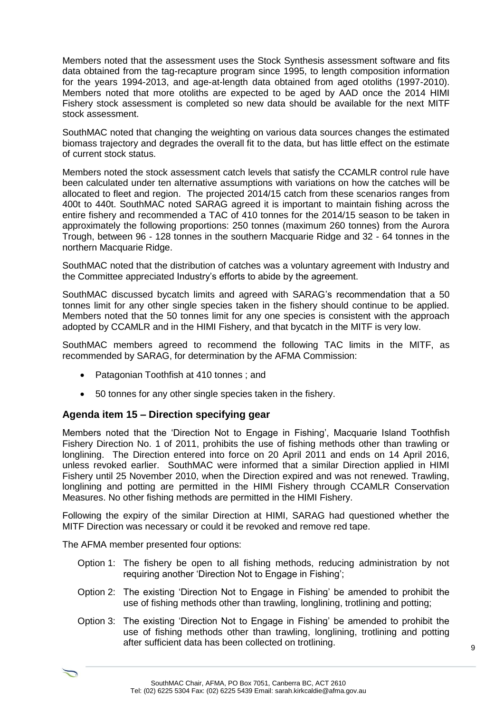Members noted that the assessment uses the Stock Synthesis assessment software and fits data obtained from the tag-recapture program since 1995, to length composition information for the years 1994-2013, and age-at-length data obtained from aged otoliths (1997-2010). Members noted that more otoliths are expected to be aged by AAD once the 2014 HIMI Fishery stock assessment is completed so new data should be available for the next MITF stock assessment.

SouthMAC noted that changing the weighting on various data sources changes the estimated biomass trajectory and degrades the overall fit to the data, but has little effect on the estimate of current stock status.

Members noted the stock assessment catch levels that satisfy the CCAMLR control rule have been calculated under ten alternative assumptions with variations on how the catches will be allocated to fleet and region. The projected 2014/15 catch from these scenarios ranges from 400t to 440t. SouthMAC noted SARAG agreed it is important to maintain fishing across the entire fishery and recommended a TAC of 410 tonnes for the 2014/15 season to be taken in approximately the following proportions: 250 tonnes (maximum 260 tonnes) from the Aurora Trough, between 96 - 128 tonnes in the southern Macquarie Ridge and 32 - 64 tonnes in the northern Macquarie Ridge.

SouthMAC noted that the distribution of catches was a voluntary agreement with Industry and the Committee appreciated Industry's efforts to abide by the agreement.

SouthMAC discussed bycatch limits and agreed with SARAG's recommendation that a 50 tonnes limit for any other single species taken in the fishery should continue to be applied. Members noted that the 50 tonnes limit for any one species is consistent with the approach adopted by CCAMLR and in the HIMI Fishery, and that bycatch in the MITF is very low.

SouthMAC members agreed to recommend the following TAC limits in the MITF, as recommended by SARAG, for determination by the AFMA Commission:

- Patagonian Toothfish at 410 tonnes; and
- 50 tonnes for any other single species taken in the fishery.

#### **Agenda item 15 – Direction specifying gear**

Members noted that the 'Direction Not to Engage in Fishing', Macquarie Island Toothfish Fishery Direction No. 1 of 2011, prohibits the use of fishing methods other than trawling or longlining. The Direction entered into force on 20 April 2011 and ends on 14 April 2016, unless revoked earlier. SouthMAC were informed that a similar Direction applied in HIMI Fishery until 25 November 2010, when the Direction expired and was not renewed. Trawling, longlining and potting are permitted in the HIMI Fishery through CCAMLR Conservation Measures. No other fishing methods are permitted in the HIMI Fishery.

Following the expiry of the similar Direction at HIMI, SARAG had questioned whether the MITF Direction was necessary or could it be revoked and remove red tape.

The AFMA member presented four options:

- Option 1: The fishery be open to all fishing methods, reducing administration by not requiring another 'Direction Not to Engage in Fishing';
- Option 2: The existing 'Direction Not to Engage in Fishing' be amended to prohibit the use of fishing methods other than trawling, longlining, trotlining and potting;
- Option 3: The existing 'Direction Not to Engage in Fishing' be amended to prohibit the use of fishing methods other than trawling, longlining, trotlining and potting after sufficient data has been collected on trotlining.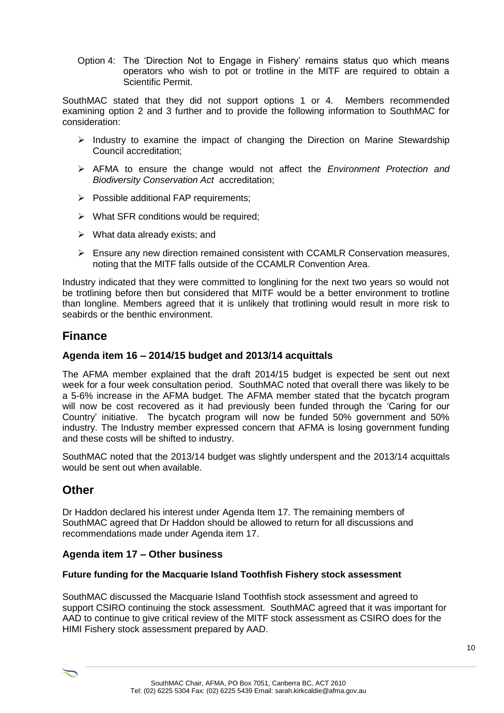Option 4: The 'Direction Not to Engage in Fishery' remains status quo which means operators who wish to pot or trotline in the MITF are required to obtain a Scientific Permit.

SouthMAC stated that they did not support options 1 or 4. Members recommended examining option 2 and 3 further and to provide the following information to SouthMAC for consideration:

- $\triangleright$  Industry to examine the impact of changing the Direction on Marine Stewardship Council accreditation;
- AFMA to ensure the change would not affect the *Environment Protection and Biodiversity Conservation Act* accreditation;
- $\triangleright$  Possible additional FAP requirements;
- $\triangleright$  What SFR conditions would be required;
- $\triangleright$  What data already exists; and
- $\triangleright$  Ensure any new direction remained consistent with CCAMLR Conservation measures, noting that the MITF falls outside of the CCAMLR Convention Area.

Industry indicated that they were committed to longlining for the next two years so would not be trotlining before then but considered that MITF would be a better environment to trotline than longline. Members agreed that it is unlikely that trotlining would result in more risk to seabirds or the benthic environment.

# **Finance**

#### **Agenda item 16 – 2014/15 budget and 2013/14 acquittals**

The AFMA member explained that the draft 2014/15 budget is expected be sent out next week for a four week consultation period. SouthMAC noted that overall there was likely to be a 5-6% increase in the AFMA budget. The AFMA member stated that the bycatch program will now be cost recovered as it had previously been funded through the 'Caring for our Country' initiative. The bycatch program will now be funded 50% government and 50% industry. The Industry member expressed concern that AFMA is losing government funding and these costs will be shifted to industry.

SouthMAC noted that the 2013/14 budget was slightly underspent and the 2013/14 acquittals would be sent out when available.

# **Other**

Dr Haddon declared his interest under Agenda Item 17. The remaining members of SouthMAC agreed that Dr Haddon should be allowed to return for all discussions and recommendations made under Agenda item 17.

#### **Agenda item 17 – Other business**

#### **Future funding for the Macquarie Island Toothfish Fishery stock assessment**

SouthMAC discussed the Macquarie Island Toothfish stock assessment and agreed to support CSIRO continuing the stock assessment. SouthMAC agreed that it was important for AAD to continue to give critical review of the MITF stock assessment as CSIRO does for the HIMI Fishery stock assessment prepared by AAD.

 $\bigcirc$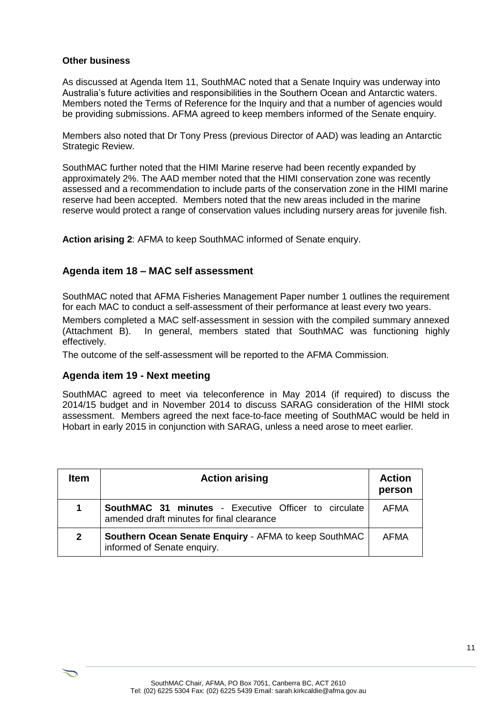#### **Other business**

As discussed at Agenda Item 11, SouthMAC noted that a Senate Inquiry was underway into Australia's future activities and responsibilities in the Southern Ocean and Antarctic waters. Members noted the Terms of Reference for the Inquiry and that a number of agencies would be providing submissions. AFMA agreed to keep members informed of the Senate enquiry.

Members also noted that Dr Tony Press (previous Director of AAD) was leading an Antarctic Strategic Review.

SouthMAC further noted that the HIMI Marine reserve had been recently expanded by approximately 2%. The AAD member noted that the HIMI conservation zone was recently assessed and a recommendation to include parts of the conservation zone in the HIMI marine reserve had been accepted. Members noted that the new areas included in the marine reserve would protect a range of conservation values including nursery areas for juvenile fish.

**Action arising 2**: AFMA to keep SouthMAC informed of Senate enquiry.

#### **Agenda item 18 – MAC self assessment**

SouthMAC noted that AFMA Fisheries Management Paper number 1 outlines the requirement for each MAC to conduct a self-assessment of their performance at least every two years.

Members completed a MAC self-assessment in session with the compiled summary annexed (Attachment B). In general, members stated that SouthMAC was functioning highly effectively.

The outcome of the self-assessment will be reported to the AFMA Commission.

#### **Agenda item 19 - Next meeting**

 $\overline{\phantom{0}}$ 

SouthMAC agreed to meet via teleconference in May 2014 (if required) to discuss the 2014/15 budget and in November 2014 to discuss SARAG consideration of the HIMI stock assessment. Members agreed the next face-to-face meeting of SouthMAC would be held in Hobart in early 2015 in conjunction with SARAG, unless a need arose to meet earlier.

| Item         | <b>Action arising</b>                                                                             | <b>Action</b><br>person |
|--------------|---------------------------------------------------------------------------------------------------|-------------------------|
| 1            | SouthMAC 31 minutes - Executive Officer to circulate<br>amended draft minutes for final clearance | AFMA                    |
| $\mathbf{2}$ | Southern Ocean Senate Enquiry - AFMA to keep SouthMAC<br>informed of Senate enquiry.              | AFMA                    |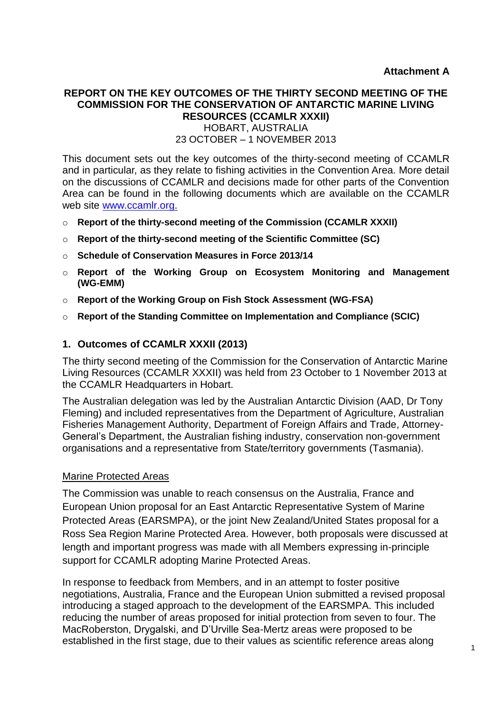# **REPORT ON THE KEY OUTCOMES OF THE THIRTY SECOND MEETING OF THE COMMISSION FOR THE CONSERVATION OF ANTARCTIC MARINE LIVING RESOURCES (CCAMLR XXXII)**

HOBART, AUSTRALIA

23 OCTOBER – 1 NOVEMBER 2013

This document sets out the key outcomes of the thirty-second meeting of CCAMLR and in particular, as they relate to fishing activities in the Convention Area. More detail on the discussions of CCAMLR and decisions made for other parts of the Convention Area can be found in the following documents which are available on the CCAMLR web site [www.ccamlr.org.](http://www.ccamlr.org/)

- o **Report of the thirty-second meeting of the Commission (CCAMLR XXXII)**
- o **Report of the thirty-second meeting of the Scientific Committee (SC)**
- o **Schedule of Conservation Measures in Force 2013/14**
- o **Report of the Working Group on Ecosystem Monitoring and Management (WG-EMM)**
- o **Report of the Working Group on Fish Stock Assessment (WG-FSA)**
- o **Report of the Standing Committee on Implementation and Compliance (SCIC)**

#### **1. Outcomes of CCAMLR XXXII (2013)**

The thirty second meeting of the Commission for the Conservation of Antarctic Marine Living Resources (CCAMLR XXXII) was held from 23 October to 1 November 2013 at the CCAMLR Headquarters in Hobart.

The Australian delegation was led by the Australian Antarctic Division (AAD, Dr Tony Fleming) and included representatives from the Department of Agriculture, Australian Fisheries Management Authority, Department of Foreign Affairs and Trade, Attorney-General's Department, the Australian fishing industry, conservation non-government organisations and a representative from State/territory governments (Tasmania).

#### Marine Protected Areas

The Commission was unable to reach consensus on the Australia, France and European Union proposal for an East Antarctic Representative System of Marine Protected Areas (EARSMPA), or the joint New Zealand/United States proposal for a Ross Sea Region Marine Protected Area. However, both proposals were discussed at length and important progress was made with all Members expressing in-principle support for CCAMLR adopting Marine Protected Areas.

In response to feedback from Members, and in an attempt to foster positive negotiations, Australia, France and the European Union submitted a revised proposal introducing a staged approach to the development of the EARSMPA. This included reducing the number of areas proposed for initial protection from seven to four. The MacRoberston, Drygalski, and D'Urville Sea-Mertz areas were proposed to be established in the first stage, due to their values as scientific reference areas along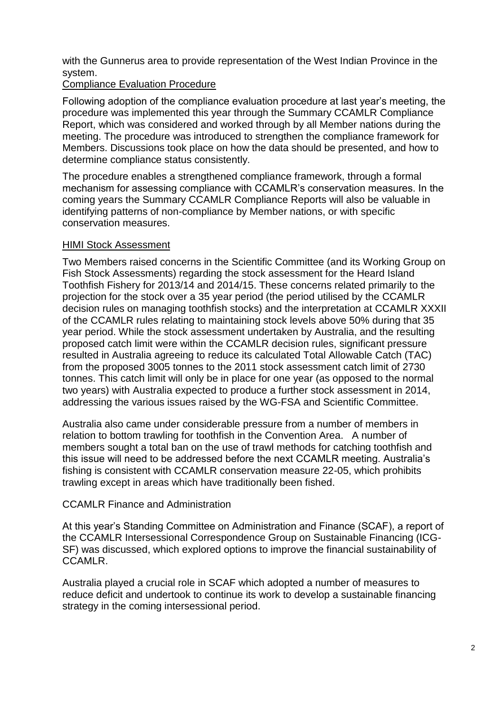with the Gunnerus area to provide representation of the West Indian Province in the system.

#### Compliance Evaluation Procedure

Following adoption of the compliance evaluation procedure at last year's meeting, the procedure was implemented this year through the Summary CCAMLR Compliance Report, which was considered and worked through by all Member nations during the meeting. The procedure was introduced to strengthen the compliance framework for Members. Discussions took place on how the data should be presented, and how to determine compliance status consistently.

The procedure enables a strengthened compliance framework, through a formal mechanism for assessing compliance with CCAMLR's conservation measures. In the coming years the Summary CCAMLR Compliance Reports will also be valuable in identifying patterns of non-compliance by Member nations, or with specific conservation measures.

#### HIMI Stock Assessment

Two Members raised concerns in the Scientific Committee (and its Working Group on Fish Stock Assessments) regarding the stock assessment for the Heard Island Toothfish Fishery for 2013/14 and 2014/15. These concerns related primarily to the projection for the stock over a 35 year period (the period utilised by the CCAMLR decision rules on managing toothfish stocks) and the interpretation at CCAMLR XXXII of the CCAMLR rules relating to maintaining stock levels above 50% during that 35 year period. While the stock assessment undertaken by Australia, and the resulting proposed catch limit were within the CCAMLR decision rules, significant pressure resulted in Australia agreeing to reduce its calculated Total Allowable Catch (TAC) from the proposed 3005 tonnes to the 2011 stock assessment catch limit of 2730 tonnes. This catch limit will only be in place for one year (as opposed to the normal two years) with Australia expected to produce a further stock assessment in 2014, addressing the various issues raised by the WG-FSA and Scientific Committee.

Australia also came under considerable pressure from a number of members in relation to bottom trawling for toothfish in the Convention Area. A number of members sought a total ban on the use of trawl methods for catching toothfish and this issue will need to be addressed before the next CCAMLR meeting. Australia's fishing is consistent with CCAMLR conservation measure 22-05, which prohibits trawling except in areas which have traditionally been fished.

# CCAMLR Finance and Administration

At this year's Standing Committee on Administration and Finance (SCAF), a report of the CCAMLR Intersessional Correspondence Group on Sustainable Financing (ICG-SF) was discussed, which explored options to improve the financial sustainability of CCAMLR.

Australia played a crucial role in SCAF which adopted a number of measures to reduce deficit and undertook to continue its work to develop a sustainable financing strategy in the coming intersessional period.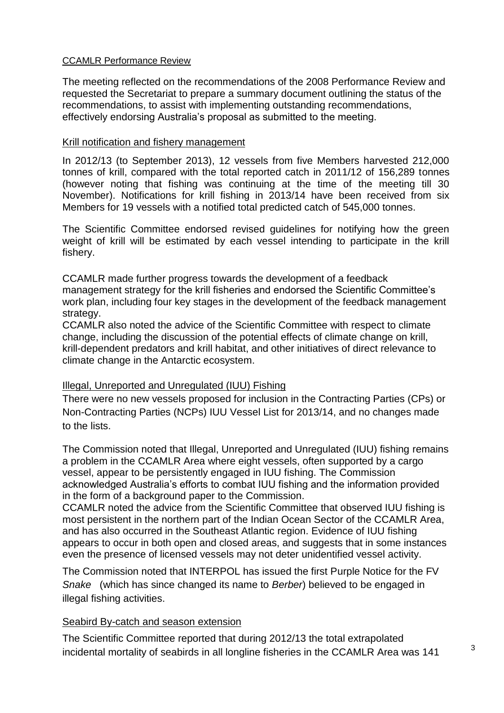#### CCAMLR Performance Review

The meeting reflected on the recommendations of the 2008 Performance Review and requested the Secretariat to prepare a summary document outlining the status of the recommendations, to assist with implementing outstanding recommendations, effectively endorsing Australia's proposal as submitted to the meeting.

#### Krill notification and fishery management

In 2012/13 (to September 2013), 12 vessels from five Members harvested 212,000 tonnes of krill, compared with the total reported catch in 2011/12 of 156,289 tonnes (however noting that fishing was continuing at the time of the meeting till 30 November). Notifications for krill fishing in 2013/14 have been received from six Members for 19 vessels with a notified total predicted catch of 545,000 tonnes.

The Scientific Committee endorsed revised guidelines for notifying how the green weight of krill will be estimated by each vessel intending to participate in the krill fishery.

CCAMLR made further progress towards the development of a feedback management strategy for the krill fisheries and endorsed the Scientific Committee's work plan, including four key stages in the development of the feedback management strategy.

CCAMLR also noted the advice of the Scientific Committee with respect to climate change, including the discussion of the potential effects of climate change on krill, krill-dependent predators and krill habitat, and other initiatives of direct relevance to climate change in the Antarctic ecosystem.

#### Illegal, Unreported and Unregulated (IUU) Fishing

There were no new vessels proposed for inclusion in the Contracting Parties (CPs) or Non-Contracting Parties (NCPs) IUU Vessel List for 2013/14, and no changes made to the lists.

The Commission noted that Illegal, Unreported and Unregulated (IUU) fishing remains a problem in the CCAMLR Area where eight vessels, often supported by a cargo vessel, appear to be persistently engaged in IUU fishing. The Commission acknowledged Australia's efforts to combat IUU fishing and the information provided in the form of a background paper to the Commission.

CCAMLR noted the advice from the Scientific Committee that observed IUU fishing is most persistent in the northern part of the Indian Ocean Sector of the CCAMLR Area, and has also occurred in the Southeast Atlantic region. Evidence of IUU fishing appears to occur in both open and closed areas, and suggests that in some instances even the presence of licensed vessels may not deter unidentified vessel activity.

The Commission noted that INTERPOL has issued the first Purple Notice for the FV *Snake* (which has since changed its name to *Berber*) believed to be engaged in illegal fishing activities.

#### Seabird By-catch and season extension

The Scientific Committee reported that during 2012/13 the total extrapolated incidental mortality of seabirds in all longline fisheries in the CCAMLR Area was 141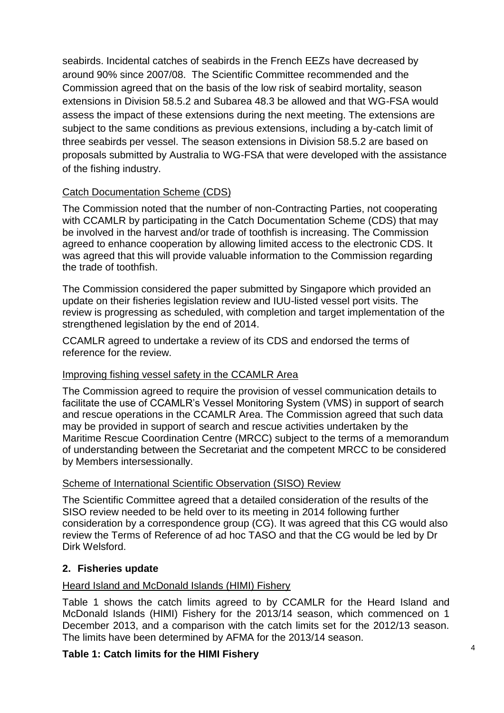seabirds. Incidental catches of seabirds in the French EEZs have decreased by around 90% since 2007/08. The Scientific Committee recommended and the Commission agreed that on the basis of the low risk of seabird mortality, season extensions in Division 58.5.2 and Subarea 48.3 be allowed and that WG-FSA would assess the impact of these extensions during the next meeting. The extensions are subject to the same conditions as previous extensions, including a by-catch limit of three seabirds per vessel. The season extensions in Division 58.5.2 are based on proposals submitted by Australia to WG-FSA that were developed with the assistance of the fishing industry.

# Catch Documentation Scheme (CDS)

The Commission noted that the number of non-Contracting Parties, not cooperating with CCAMLR by participating in the Catch Documentation Scheme (CDS) that may be involved in the harvest and/or trade of toothfish is increasing. The Commission agreed to enhance cooperation by allowing limited access to the electronic CDS. It was agreed that this will provide valuable information to the Commission regarding the trade of toothfish.

The Commission considered the paper submitted by Singapore which provided an update on their fisheries legislation review and IUU-listed vessel port visits. The review is progressing as scheduled, with completion and target implementation of the strengthened legislation by the end of 2014.

CCAMLR agreed to undertake a review of its CDS and endorsed the terms of reference for the review.

# Improving fishing vessel safety in the CCAMLR Area

The Commission agreed to require the provision of vessel communication details to facilitate the use of CCAMLR's Vessel Monitoring System (VMS) in support of search and rescue operations in the CCAMLR Area. The Commission agreed that such data may be provided in support of search and rescue activities undertaken by the Maritime Rescue Coordination Centre (MRCC) subject to the terms of a memorandum of understanding between the Secretariat and the competent MRCC to be considered by Members intersessionally.

# Scheme of International Scientific Observation (SISO) Review

The Scientific Committee agreed that a detailed consideration of the results of the SISO review needed to be held over to its meeting in 2014 following further consideration by a correspondence group (CG). It was agreed that this CG would also review the Terms of Reference of ad hoc TASO and that the CG would be led by Dr Dirk Welsford.

# **2. Fisheries update**

# Heard Island and McDonald Islands (HIMI) Fishery

Table 1 shows the catch limits agreed to by CCAMLR for the Heard Island and McDonald Islands (HIMI) Fishery for the 2013/14 season, which commenced on 1 December 2013, and a comparison with the catch limits set for the 2012/13 season. The limits have been determined by AFMA for the 2013/14 season.

# **Table 1: Catch limits for the HIMI Fishery**